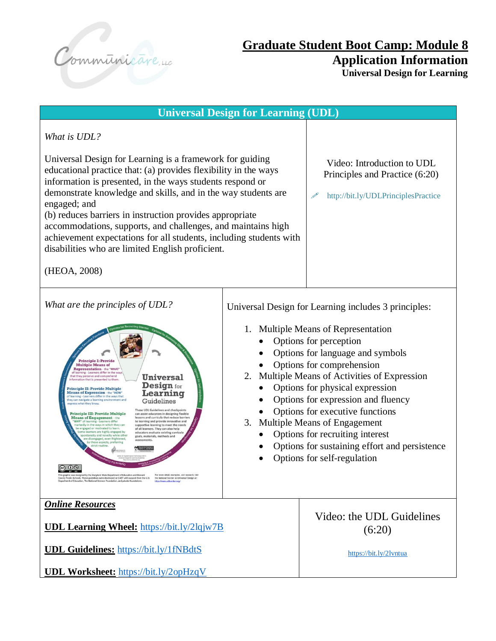

|                                                                                                                                                                                                                                                                                                                                                                                                                                                                                                                                                                                                                                                                                                                                                                                                                                                                                                                                                                                                                                                                                                                    | <b>Universal Design for Learning (UDL)</b>                                                                                                                                                                                                                                                                                                                                                                                                                     |                                                                                                     |
|--------------------------------------------------------------------------------------------------------------------------------------------------------------------------------------------------------------------------------------------------------------------------------------------------------------------------------------------------------------------------------------------------------------------------------------------------------------------------------------------------------------------------------------------------------------------------------------------------------------------------------------------------------------------------------------------------------------------------------------------------------------------------------------------------------------------------------------------------------------------------------------------------------------------------------------------------------------------------------------------------------------------------------------------------------------------------------------------------------------------|----------------------------------------------------------------------------------------------------------------------------------------------------------------------------------------------------------------------------------------------------------------------------------------------------------------------------------------------------------------------------------------------------------------------------------------------------------------|-----------------------------------------------------------------------------------------------------|
| What is UDL?                                                                                                                                                                                                                                                                                                                                                                                                                                                                                                                                                                                                                                                                                                                                                                                                                                                                                                                                                                                                                                                                                                       |                                                                                                                                                                                                                                                                                                                                                                                                                                                                |                                                                                                     |
| Universal Design for Learning is a framework for guiding<br>educational practice that: (a) provides flexibility in the ways<br>information is presented, in the ways students respond or<br>demonstrate knowledge and skills, and in the way students are<br>engaged; and<br>(b) reduces barriers in instruction provides appropriate<br>accommodations, supports, and challenges, and maintains high<br>achievement expectations for all students, including students with<br>disabilities who are limited English proficient.<br>(HEOA, 2008)                                                                                                                                                                                                                                                                                                                                                                                                                                                                                                                                                                    |                                                                                                                                                                                                                                                                                                                                                                                                                                                                | Video: Introduction to UDL<br>Principles and Practice (6:20)<br>http://bit.ly/UDLPrinciplesPractice |
| What are the principles of UDL?                                                                                                                                                                                                                                                                                                                                                                                                                                                                                                                                                                                                                                                                                                                                                                                                                                                                                                                                                                                                                                                                                    |                                                                                                                                                                                                                                                                                                                                                                                                                                                                | Universal Design for Learning includes 3 principles:                                                |
| <b>Principle I: Provide</b><br><b>Multiple Means of</b><br><b>Representation</b> - the "WHAT"<br>learning - Learners differ in the ways<br>at they perceive and comprehend<br>Universal<br>on that is presented to them<br>Design for<br><b>Principle II: Provide Multiple</b><br>Learning<br><b>Means of Expression</b> - the "HOW"<br>learning - Learners differ in the ways that<br>they can navigate a learning environment and<br>Guidelines<br>ress what they know.<br>These UDL Guidelines and checkpoints<br><b>Principle III: Provide Multiple</b><br>can assist educators in designing flexible<br>lessons and curricula that reduce barriers<br><b>Means of Engagement</b> - the<br>to learning and provide innovative and<br>VHY" of learning - Learners differ<br>kedly in the ways in which they ca<br>supportive learning to meet the needs<br>engaged or motivated to learn<br>of all learners. They can also help<br>ne learners are highly engaged b<br>educators evaluate existing curricula<br>ontaneity and novelty<br>goals, materials, methods and<br>re disengaged, even i<br>assessments. | 1. Multiple Means of Representation<br>Options for perception<br>Options for language and symbols<br>Options for comprehension<br>Multiple Means of Activities of Expression<br>2.<br>Options for physical expression<br>Options for expression and fluency<br>Options for executive functions<br><b>Multiple Means of Engagement</b><br>3.<br>Options for recruiting interest<br>Options for sustaining effort and persistence<br>Options for self-regulation |                                                                                                     |

*Online Resources*

 $\circledcirc$   $\circledcirc$ 

**UDL Learning Wheel:** <https://bit.ly/2lqjw7B>

**UDL Guidelines:** <https://bit.ly/1fNBdtS>

tate Department of Educa<br>e developed at CAST with

**UDL Worksheet:** <https://bit.ly/2opHzqV>

Video: the UDL Guidelines (6:20)

<https://bit.ly/2lvntua>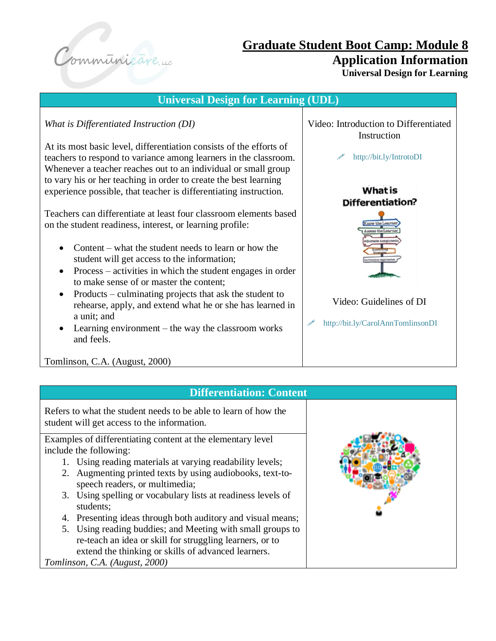

# **Graduate Student Boot Camp: Module 8 Application Information**

**Universal Design for Learning**

| <b>Universal Design for Learning (UDL)</b>                                                                                                                                                                                                                                                                                                         |                                                              |  |  |  |
|----------------------------------------------------------------------------------------------------------------------------------------------------------------------------------------------------------------------------------------------------------------------------------------------------------------------------------------------------|--------------------------------------------------------------|--|--|--|
| What is Differentiated Instruction (DI)                                                                                                                                                                                                                                                                                                            | Video: Introduction to Differentiated<br>Instruction         |  |  |  |
| At its most basic level, differentiation consists of the efforts of<br>teachers to respond to variance among learners in the classroom.<br>Whenever a teacher reaches out to an individual or small group<br>to vary his or her teaching in order to create the best learning<br>experience possible, that teacher is differentiating instruction. | http://bit.ly/IntrotoDI<br><b>What is</b>                    |  |  |  |
|                                                                                                                                                                                                                                                                                                                                                    | <b>Differentiation?</b>                                      |  |  |  |
| Teachers can differentiate at least four classroom elements based<br>on the student readiness, interest, or learning profile:                                                                                                                                                                                                                      | now the Learne                                               |  |  |  |
| Content – what the student needs to learn or how the<br>$\bullet$<br>student will get access to the information;<br>Process – activities in which the student engages in order<br>$\bullet$                                                                                                                                                        | reinsham Approac                                             |  |  |  |
| to make sense of or master the content;<br>Products – culminating projects that ask the student to<br>$\bullet$<br>rehearse, apply, and extend what he or she has learned in<br>a unit; and<br>Learning environment – the way the classroom works<br>and feels.                                                                                    | Video: Guidelines of DI<br>http://bit.ly/CarolAnnTomlinsonDI |  |  |  |
| Tomlinson, C.A. (August, 2000)                                                                                                                                                                                                                                                                                                                     |                                                              |  |  |  |
|                                                                                                                                                                                                                                                                                                                                                    |                                                              |  |  |  |
| <b>Differentiation: Content</b>                                                                                                                                                                                                                                                                                                                    |                                                              |  |  |  |
| Refers to what the student needs to be able to learn of how the                                                                                                                                                                                                                                                                                    |                                                              |  |  |  |

Refers to what the student needs to be able to learn of how the student will get access to the information.

Examples of differentiating content at the elementary level include the following:

- 1. Using reading materials at varying readability levels;
- 2. Augmenting printed texts by using audiobooks, text-tospeech readers, or multimedia;
- 3. Using spelling or vocabulary lists at readiness levels of students;
- 4. Presenting ideas through both auditory and visual means;
- 5. Using reading buddies; and Meeting with small groups to re-teach an idea or skill for struggling learners, or to extend the thinking or skills of advanced learners.

*Tomlinson, C.A. (August, 2000)*

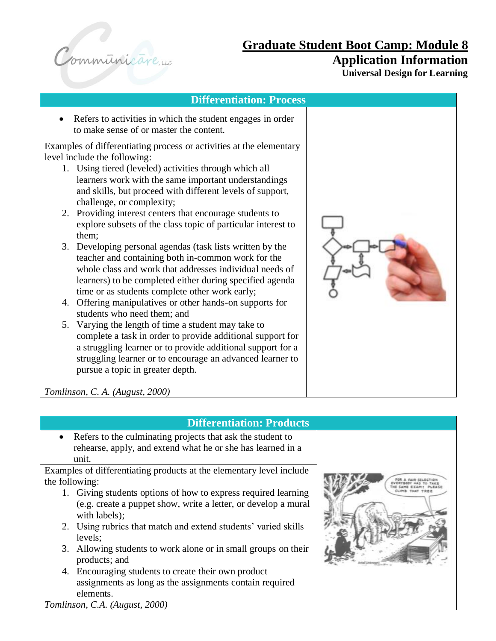

## **Graduate Student Boot Camp: Module 8**

# **Application Information**

**Universal Design for Learning**

| <b>Differentiation: Process</b><br>Refers to activities in which the student engages in order<br>to make sense of or master the content.<br>Examples of differentiating process or activities at the elementary<br>level include the following:<br>1. Using tiered (leveled) activities through which all<br>learners work with the same important understandings<br>and skills, but proceed with different levels of support,<br>challenge, or complexity;<br>2. Providing interest centers that encourage students to<br>explore subsets of the class topic of particular interest to<br>them;<br>3. Developing personal agendas (task lists written by the |  |
|---------------------------------------------------------------------------------------------------------------------------------------------------------------------------------------------------------------------------------------------------------------------------------------------------------------------------------------------------------------------------------------------------------------------------------------------------------------------------------------------------------------------------------------------------------------------------------------------------------------------------------------------------------------|--|
| teacher and containing both in-common work for the<br>whole class and work that addresses individual needs of<br>learners) to be completed either during specified agenda<br>time or as students complete other work early;<br>4. Offering manipulatives or other hands-on supports for                                                                                                                                                                                                                                                                                                                                                                       |  |
| students who need them; and<br>5. Varying the length of time a student may take to<br>complete a task in order to provide additional support for<br>a struggling learner or to provide additional support for a<br>struggling learner or to encourage an advanced learner to<br>pursue a topic in greater depth.                                                                                                                                                                                                                                                                                                                                              |  |
| Tomlinson, C. A. (August, 2000)                                                                                                                                                                                                                                                                                                                                                                                                                                                                                                                                                                                                                               |  |

## **Differentiation: Products** • Refers to the culminating projects that ask the student to rehearse, apply, and extend what he or she has learned in a unit. Examples of differentiating products at the elementary level include the following: 1. Giving students options of how to express required learning (e.g. create a puppet show, write a letter, or develop a mural with labels); 2. Using rubrics that match and extend students' varied skills levels; 3. Allowing students to work alone or in small groups on their products; and 4. Encouraging students to create their own product assignments as long as the assignments contain required elements. *Tomlinson, C.A. (August, 2000)*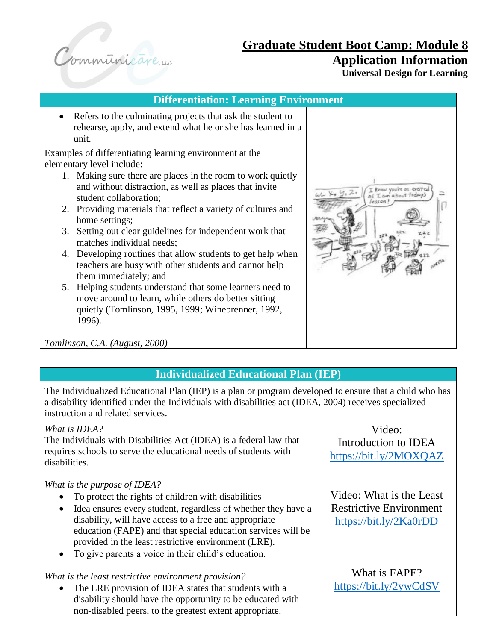

# **Graduate Student Boot Camp: Module 8**

## **Application Information**

**Universal Design for Learning**



## **Individualized Educational Plan (IEP)**

The Individualized Educational Plan (IEP) is a plan or program developed to ensure that a child who has a disability identified under the Individuals with disabilities act (IDEA, 2004) receives specialized instruction and related services.

### *What is IDEA?*

The Individuals with Disabilities Act (IDEA) is a federal law that requires schools to serve the educational needs of students with disabilities.

### *What is the purpose of IDEA?*

- To protect the rights of children with disabilities
- Idea ensures every student, regardless of whether they have a disability, will have access to a free and appropriate education (FAPE) and that special education services will be provided in the least restrictive environment (LRE).
- To give parents a voice in their child's education.

### *What is the least restrictive environment provision?*

The LRE provision of IDEA states that students with a disability should have the opportunity to be educated with non-disabled peers, to the greatest extent appropriate.

Video: Introduction to IDEA <https://bit.ly/2MOXQAZ>

Video: What is the Least Restrictive Environment <https://bit.ly/2Ka0rDD>

What is FAPE? <https://bit.ly/2ywCdSV>